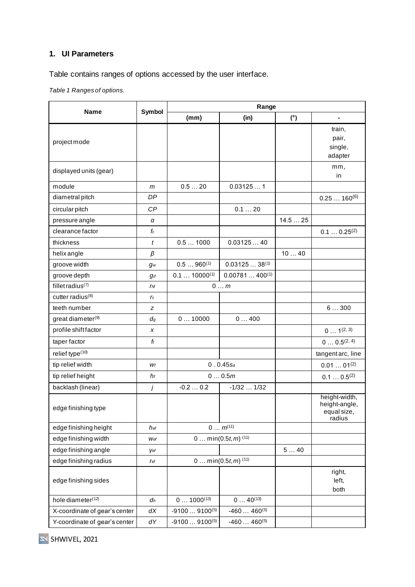## **1. UI Parameters**

Table contains ranges of options accessed by the user interface.

*Table 1 Ranges of options.*

| <b>Name</b>                   | <b>Symbol</b>   | Range                            |                       |        |                                |  |
|-------------------------------|-----------------|----------------------------------|-----------------------|--------|--------------------------------|--|
|                               |                 | (mm)                             | (in)                  | (°)    | $\blacksquare$                 |  |
|                               |                 |                                  |                       |        | train,                         |  |
| projectmode                   |                 |                                  |                       |        | pair,                          |  |
|                               |                 |                                  |                       |        | single,                        |  |
|                               |                 |                                  |                       |        | adapter                        |  |
| displayed units (gear)        |                 |                                  |                       |        | mm,<br>in                      |  |
| module                        | m               | 0.520                            | 0.031251              |        |                                |  |
| diametral pitch               | DP              |                                  |                       |        | $0.25160^{(6)}$                |  |
| circular pitch                | CP              |                                  | 0.120                 |        |                                |  |
| pressure angle                | α               |                                  |                       | 14.525 |                                |  |
| clearance factor              | $f_c$           |                                  |                       |        | $0.10.25^{(2)}$                |  |
| thickness                     | $\mathfrak{t}$  | 0.51000                          | 0.0312540             |        |                                |  |
| helix angle                   | β               |                                  |                       | 1040   |                                |  |
| groove width                  | gw              | $0.5960^{(1)}$                   | $0.0312538^{(1)}$     |        |                                |  |
| groove depth                  | $g_d$           | $0.1$ 10000 <sup>(1)</sup>       | $0.00781400^{(1)}$    |        |                                |  |
| fillet radius $(7)$           | r <sub>hf</sub> | $0 \ldots m$                     |                       |        |                                |  |
| cutter radius <sup>(8)</sup>  | rc              |                                  |                       |        |                                |  |
| teeth number                  | z               |                                  |                       |        | 6300                           |  |
| great diameter <sup>(9)</sup> | $d_{g}$         | 010000                           | 0400                  |        |                                |  |
| profile shiftfactor           | x               |                                  |                       |        | $0 1^{(2, 3)}$                 |  |
| taper factor                  | $f_t$           |                                  |                       |        | $0 0.5^{(2, 4)}$               |  |
| relief type(10)               |                 |                                  |                       |        | tangent arc, line              |  |
| tip relief width              | Wf              | $0.0.45$ Sa                      |                       |        | $0.0101^{(2)}$                 |  |
| tip relief height             | hf              | 00.5m                            |                       |        | $0.10.5^{(2)}$                 |  |
| backlash (linear)             | j               | $-0.20.2$                        | $-1/32$ $1/32$        |        |                                |  |
| edge finishing type           |                 |                                  |                       |        | height-width,<br>height-angle, |  |
|                               |                 |                                  |                       |        | equal size,<br>radius          |  |
| edge finishing height         | hef             | $0 m^{(11)}$                     |                       |        |                                |  |
| edge finishing width          | Wef             | 0 $min(0.5t, m)$ <sup>(11)</sup> |                       |        |                                |  |
| edge finishing angle          | Vef             |                                  |                       | 540    |                                |  |
| edge finishing radius         | <b>r</b> ef     |                                  | 0 $min(0.5t, m)$ (11) |        |                                |  |
| edge finishing sides          |                 |                                  |                       |        | right,                         |  |
|                               |                 |                                  |                       |        | left,                          |  |
|                               |                 |                                  |                       |        | both                           |  |
| hole diameter <sup>(12)</sup> | $d_h$           | $01000^{(13)}$                   | $040^{(13)}$          |        |                                |  |
| X-coordinate of gear's center | dX              | $-91009100^{(5)}$                | $-460460^{(5)}$       |        |                                |  |
| Y-coordinate of gear's center | dΥ              | $-91009100^{(5)}$                | $-460460^{(5)}$       |        |                                |  |

SHWIVEL, 2021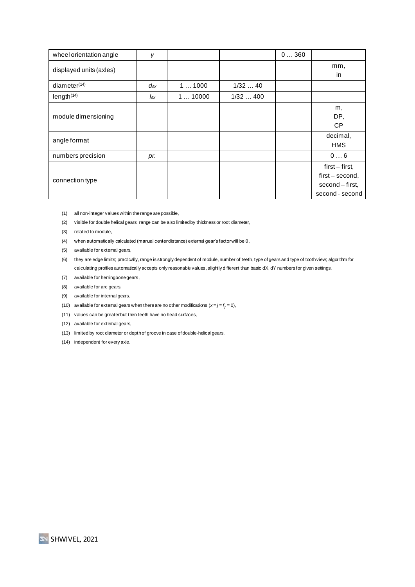| wheel orientation angle | γ   |        |         | 0360 |                                                                         |
|-------------------------|-----|--------|---------|------|-------------------------------------------------------------------------|
| displayed units (axles) |     |        |         |      | mm,<br>in                                                               |
| diameter $(14)$         | dax | 11000  | 1/3240  |      |                                                                         |
| length <sup>(14)</sup>  | lax | 110000 | 1/32400 |      |                                                                         |
| module dimensioning     |     |        |         |      | m,<br>DP,<br><b>CP</b>                                                  |
| angle format            |     |        |         |      | decimal,<br><b>HMS</b>                                                  |
| numbers precision       | pr. |        |         |      | 06                                                                      |
| connection type         |     |        |         |      | first – first,<br>first – second,<br>second – first,<br>second - second |

- (1) all non-integer values within the range are possible,
- (2) visible for double helical gears; range can be also limited by thickness or root diameter,
- (3) related to module,
- (4) when automatically calculated (manual center distance) external gear's factor will be 0,
- (5) available for extemal gears,
- (6) they are edge limits; practically, range is strongly dependent of module, number of teeth, type of gears and type of tooth view; algorithm for calculating profiles automatically accepts only reasonable values, slightly different than basic dX, dY numbers for given settings,
- (7) available for herringbone gears,
- (8) available for arc gears,
- (9) available for internal gears,
- (10)  $\,$  available for extemal gears when there are no other modifications  $(x=j=f_{t}=0),$
- (11) values can be greater but then teeth have no head surfaces,
- (12) available for extemal gears,
- (13) limited by root diameter or depth of groove in case of double-helical gears,
- (14) independent for every axle.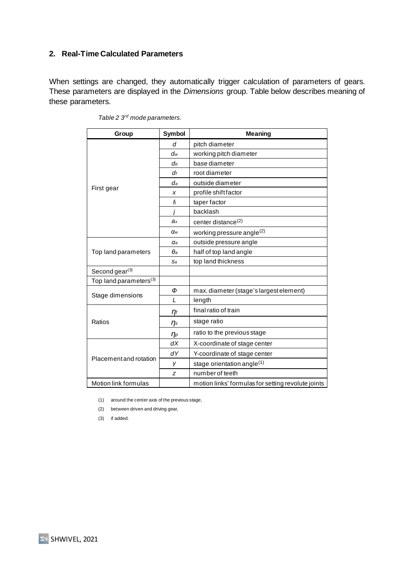## **2. Real-Time Calculated Parameters**

When settings are changed, they automatically trigger calculation of parameters of gears. These parameters are displayed in the *Dimensions* group. Table below describes meaning of these parameters.

| Group                              | <b>Symbol</b>  | <b>Meaning</b>                                     |  |  |
|------------------------------------|----------------|----------------------------------------------------|--|--|
| First gear                         | d              | pitch diameter                                     |  |  |
|                                    | $d_w$          | working pitch diameter                             |  |  |
|                                    | d <sub>b</sub> | base diameter                                      |  |  |
|                                    | df             | root diameter                                      |  |  |
|                                    | da             | outside diameter                                   |  |  |
|                                    | x              | profile shift factor                               |  |  |
|                                    | ft             | taper factor                                       |  |  |
|                                    |                | backlash                                           |  |  |
|                                    | ax             | center distance <sup>(2)</sup>                     |  |  |
|                                    | $\alpha_{w}$   | working pressure angle <sup>(2)</sup>              |  |  |
|                                    | αa             | outside pressure angle                             |  |  |
| Top land parameters                | $\theta$ a     | half of top land angle                             |  |  |
|                                    | Sa             | top land thickness                                 |  |  |
| Second gear $(3)$                  |                |                                                    |  |  |
| Top land parameters <sup>(3)</sup> |                |                                                    |  |  |
| Stage dimensions                   | Φ              | max. diameter (stage's largest element)            |  |  |
|                                    | L              | length                                             |  |  |
| Ratios                             | $\eta_f$       | final ratio of train                               |  |  |
|                                    | $\eta_s$       | stage ratio                                        |  |  |
|                                    | $\eta_p$       | ratio to the previous stage                        |  |  |
| Placement and rotation             | dX             | X-coordinate of stage center                       |  |  |
|                                    | dY             | Y-coordinate of stage center                       |  |  |
|                                    | γ              | stage orientation angle $(1)$                      |  |  |
|                                    | z              | number of teeth                                    |  |  |
| Motion link formulas               |                | motion links' formulas for setting revolute joints |  |  |

*Table 2 3 rd mode parameters.*

(1) around the center axis of the previous stage,

(2) between driven and driving gear,

(3) if added.